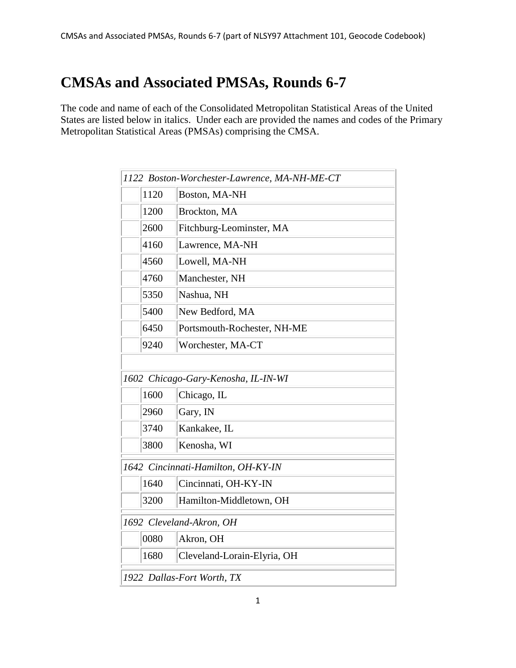## **CMSAs and Associated PMSAs, Rounds 6-7**

The code and name of each of the Consolidated Metropolitan Statistical Areas of the United States are listed below in italics. Under each are provided the names and codes of the Primary Metropolitan Statistical Areas (PMSAs) comprising the CMSA.

| 1122 Boston-Worchester-Lawrence, MA-NH-ME-CT |      |                             |  |  |
|----------------------------------------------|------|-----------------------------|--|--|
|                                              | 1120 | Boston, MA-NH               |  |  |
|                                              | 1200 | Brockton, MA                |  |  |
|                                              | 2600 | Fitchburg-Leominster, MA    |  |  |
|                                              | 4160 | Lawrence, MA-NH             |  |  |
|                                              | 4560 | Lowell, MA-NH               |  |  |
|                                              | 4760 | Manchester, NH              |  |  |
|                                              | 5350 | Nashua, NH                  |  |  |
|                                              | 5400 | New Bedford, MA             |  |  |
|                                              | 6450 | Portsmouth-Rochester, NH-ME |  |  |
|                                              | 9240 | Worchester, MA-CT           |  |  |
|                                              |      |                             |  |  |
| 1602 Chicago-Gary-Kenosha, IL-IN-WI          |      |                             |  |  |
|                                              | 1600 | Chicago, IL                 |  |  |
|                                              | 2960 | Gary, IN                    |  |  |
|                                              | 3740 | Kankakee, IL                |  |  |
|                                              | 3800 | Kenosha, WI                 |  |  |
| 1642 Cincinnati-Hamilton, OH-KY-IN           |      |                             |  |  |
|                                              | 1640 | Cincinnati, OH-KY-IN        |  |  |
|                                              | 3200 | Hamilton-Middletown, OH     |  |  |
| 1692 Cleveland-Akron, OH                     |      |                             |  |  |
|                                              | 0080 | Akron, OH                   |  |  |
|                                              | 1680 | Cleveland-Lorain-Elyria, OH |  |  |
| 1922 Dallas-Fort Worth, TX                   |      |                             |  |  |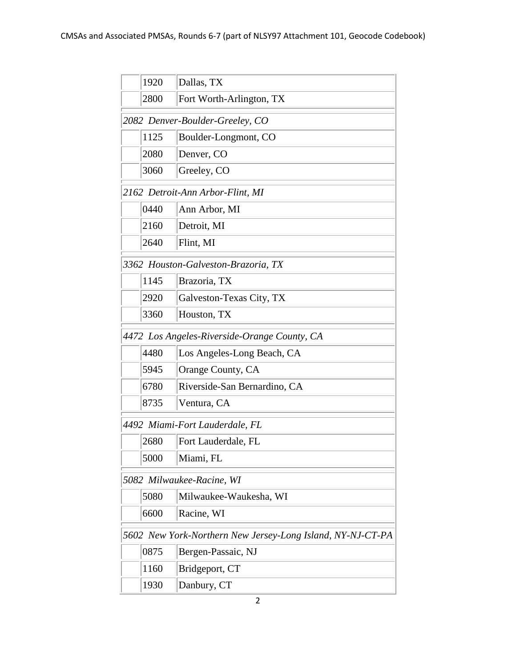|                                                            | 1920 | Dallas, TX                      |  |  |
|------------------------------------------------------------|------|---------------------------------|--|--|
|                                                            | 2800 | Fort Worth-Arlington, TX        |  |  |
|                                                            |      | 2082 Denver-Boulder-Greeley, CO |  |  |
|                                                            | 1125 | Boulder-Longmont, CO            |  |  |
|                                                            | 2080 | Denver, CO                      |  |  |
|                                                            | 3060 | Greeley, CO                     |  |  |
| 2162 Detroit-Ann Arbor-Flint, MI                           |      |                                 |  |  |
|                                                            | 0440 | Ann Arbor, MI                   |  |  |
|                                                            | 2160 | Detroit, MI                     |  |  |
|                                                            | 2640 | Flint, MI                       |  |  |
| 3362 Houston-Galveston-Brazoria, TX                        |      |                                 |  |  |
|                                                            | 1145 | Brazoria, TX                    |  |  |
|                                                            | 2920 | Galveston-Texas City, TX        |  |  |
|                                                            | 3360 | Houston, TX                     |  |  |
| 4472 Los Angeles-Riverside-Orange County, CA               |      |                                 |  |  |
|                                                            | 4480 | Los Angeles-Long Beach, CA      |  |  |
|                                                            | 5945 | Orange County, CA               |  |  |
|                                                            | 6780 | Riverside-San Bernardino, CA    |  |  |
|                                                            | 8735 | Ventura, CA                     |  |  |
|                                                            |      | 4492 Miami-Fort Lauderdale, FL  |  |  |
|                                                            | 2680 | Fort Lauderdale, FL             |  |  |
|                                                            | 5000 | Miami, FL                       |  |  |
| 5082 Milwaukee-Racine, WI                                  |      |                                 |  |  |
|                                                            | 5080 | Milwaukee-Waukesha, WI          |  |  |
|                                                            | 6600 | Racine, WI                      |  |  |
| 5602 New York-Northern New Jersey-Long Island, NY-NJ-CT-PA |      |                                 |  |  |
|                                                            | 0875 | Bergen-Passaic, NJ              |  |  |
|                                                            | 1160 | Bridgeport, CT                  |  |  |
|                                                            | 1930 | Danbury, CT                     |  |  |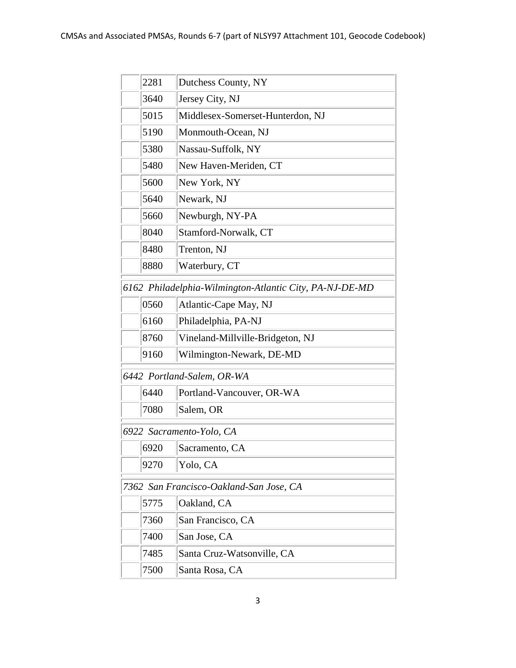|                                                         | 2281 | Dutchess County, NY              |  |  |
|---------------------------------------------------------|------|----------------------------------|--|--|
|                                                         | 3640 | Jersey City, NJ                  |  |  |
|                                                         | 5015 | Middlesex-Somerset-Hunterdon, NJ |  |  |
|                                                         | 5190 | Monmouth-Ocean, NJ               |  |  |
|                                                         | 5380 | Nassau-Suffolk, NY               |  |  |
|                                                         | 5480 | New Haven-Meriden, CT            |  |  |
|                                                         | 5600 | New York, NY                     |  |  |
|                                                         | 5640 | Newark, NJ                       |  |  |
|                                                         | 5660 | Newburgh, NY-PA                  |  |  |
|                                                         | 8040 | Stamford-Norwalk, CT             |  |  |
|                                                         | 8480 | Trenton, NJ                      |  |  |
|                                                         | 8880 | Waterbury, CT                    |  |  |
| 6162 Philadelphia-Wilmington-Atlantic City, PA-NJ-DE-MD |      |                                  |  |  |
|                                                         | 0560 | Atlantic-Cape May, NJ            |  |  |
|                                                         | 6160 | Philadelphia, PA-NJ              |  |  |
|                                                         | 8760 | Vineland-Millville-Bridgeton, NJ |  |  |
|                                                         | 9160 | Wilmington-Newark, DE-MD         |  |  |
|                                                         |      | 6442 Portland-Salem, OR-WA       |  |  |
|                                                         | 6440 | Portland-Vancouver, OR-WA        |  |  |
|                                                         | 7080 | Salem, OR                        |  |  |
| 6922 Sacramento-Yolo, CA                                |      |                                  |  |  |
|                                                         | 6920 | Sacramento, CA                   |  |  |
|                                                         | 9270 | Yolo, CA                         |  |  |
| 7362 San Francisco-Oakland-San Jose, CA                 |      |                                  |  |  |
|                                                         | 5775 | Oakland, CA                      |  |  |
|                                                         | 7360 | San Francisco, CA                |  |  |
|                                                         | 7400 | San Jose, CA                     |  |  |
|                                                         | 7485 | Santa Cruz-Watsonville, CA       |  |  |
|                                                         | 7500 | Santa Rosa, CA                   |  |  |